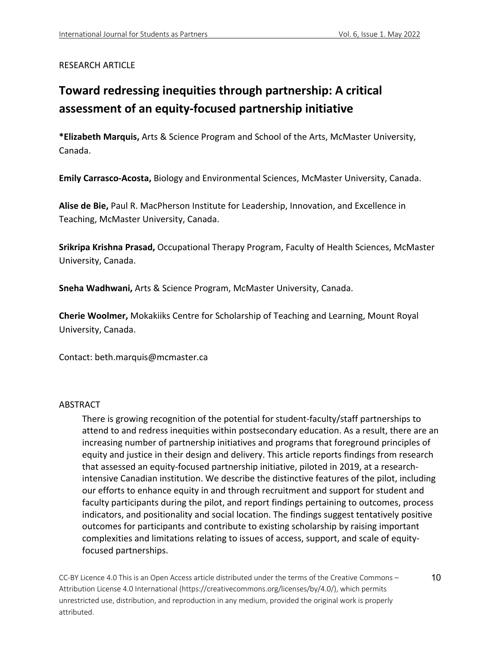# RESEARCH ARTICLE

# **Toward redressing inequities through partnership: A critical assessment of an equity-focused partnership initiative**

**\*Elizabeth Marquis,** Arts & Science Program and School of the Arts, McMaster University, Canada.

**Emily Carrasco-Acosta,** Biology and Environmental Sciences, McMaster University, Canada.

**Alise de Bie,** Paul R. MacPherson Institute for Leadership, Innovation, and Excellence in Teaching, McMaster University, Canada.

**Srikripa Krishna Prasad,** Occupational Therapy Program, Faculty of Health Sciences, McMaster University, Canada.

**Sneha Wadhwani,** Arts & Science Program, McMaster University, Canada.

**Cherie Woolmer,** Mokakiiks Centre for Scholarship of Teaching and Learning, Mount Royal University, Canada.

Contact: beth.marquis@mcmaster.ca

#### ABSTRACT

There is growing recognition of the potential for student-faculty/staff partnerships to attend to and redress inequities within postsecondary education. As a result, there are an increasing number of partnership initiatives and programs that foreground principles of equity and justice in their design and delivery. This article reports findings from research that assessed an equity-focused partnership initiative, piloted in 2019, at a researchintensive Canadian institution. We describe the distinctive features of the pilot, including our efforts to enhance equity in and through recruitment and support for student and faculty participants during the pilot, and report findings pertaining to outcomes, process indicators, and positionality and social location. The findings suggest tentatively positive outcomes for participants and contribute to existing scholarship by raising important complexities and limitations relating to issues of access, support, and scale of equityfocused partnerships.

CC-BY Licence 4.0 This is an Open Access article distributed under the terms of the Creative Commons – Attribution License 4.0 International (https://creativecommons.org/licenses/by/4.0/), which permits unrestricted use, distribution, and reproduction in any medium, provided the original work is properly attributed.

10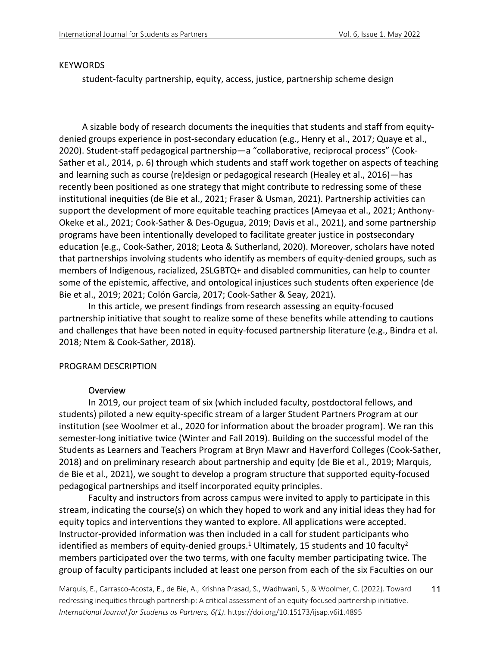#### KEYWORDS

student-faculty partnership, equity, access, justice, partnership scheme design

A sizable body of research documents the inequities that students and staff from equitydenied groups experience in post-secondary education (e.g., Henry et al., 2017; Quaye et al., 2020). Student-staff pedagogical partnership—a "collaborative, reciprocal process" (Cook-Sather et al., 2014, p. 6) through which students and staff work together on aspects of teaching and learning such as course (re)design or pedagogical research (Healey et al., 2016)—has recently been positioned as one strategy that might contribute to redressing some of these institutional inequities (de Bie et al., 2021; Fraser & Usman, 2021). Partnership activities can support the development of more equitable teaching practices (Ameyaa et al., 2021; Anthony-Okeke et al., 2021; Cook-Sather & Des-Ogugua, 2019; Davis et al., 2021), and some partnership programs have been intentionally developed to facilitate greater justice in postsecondary education (e.g., Cook-Sather, 2018; Leota & Sutherland, 2020). Moreover, scholars have noted that partnerships involving students who identify as members of equity-denied groups, such as members of Indigenous, racialized, 2SLGBTQ+ and disabled communities, can help to counter some of the epistemic, affective, and ontological injustices such students often experience (de Bie et al., 2019; 2021; Colón García, 2017; Cook-Sather & Seay, 2021).

In this article, we present findings from research assessing an equity-focused partnership initiative that sought to realize some of these benefits while attending to cautions and challenges that have been noted in equity-focused partnership literature (e.g., Bindra et al. 2018; Ntem & Cook-Sather, 2018).

#### PROGRAM DESCRIPTION

#### **Overview**

In 2019, our project team of six (which included faculty, postdoctoral fellows, and students) piloted a new equity-specific stream of a larger Student Partners Program at our institution (see Woolmer et al., 2020 for information about the broader program). We ran this semester-long initiative twice (Winter and Fall 2019). Building on the successful model of the Students as Learners and Teachers Program at Bryn Mawr and Haverford Colleges (Cook-Sather, 2018) and on preliminary research about partnership and equity (de Bie et al., 2019; Marquis, de Bie et al., 2021), we sought to develop a program structure that supported equity-focused pedagogical partnerships and itself incorporated equity principles.

Faculty and instructors from across campus were invited to apply to participate in this stream, indicating the course(s) on which they hoped to work and any initial ideas they had for equity topics and interventions they wanted to explore. All applications were accepted. Instructor-provided information was then included in a call for student participants who identified as members of equity-denied groups.<sup>1</sup> Ultimately, 15 students and 10 faculty<sup>2</sup> members participated over the two terms, with one faculty member participating twice. The group of faculty participants included at least one person from each of the six Faculties on our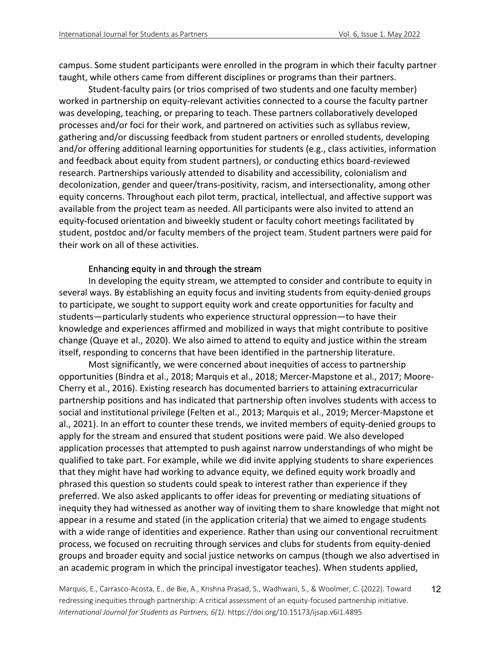campus. Some student participants were enrolled in the program in which their faculty partner taught, while others came from different disciplines or programs than their partners.

Student-faculty pairs (or trios comprised of two students and one faculty member) worked in partnership on equity-relevant activities connected to a course the faculty partner was developing, teaching, or preparing to teach. These partners collaboratively developed processes and/or foci for their work, and partnered on activities such as syllabus review, gathering and/or discussing feedback from student partners or enrolled students, developing and/or offering additional learning opportunities for students (e.g., class activities, information and feedback about equity from student partners), or conducting ethics board-reviewed research. Partnerships variously attended to disability and accessibility, colonialism and decolonization, gender and queer/trans-positivity, racism, and intersectionality, among other equity concerns. Throughout each pilot term, practical, intellectual, and affective support was available from the project team as needed. All participants were also invited to attend an equity-focused orientation and biweekly student or faculty cohort meetings facilitated by student, postdoc and/or faculty members of the project team. Student partners were paid for their work on all of these activities.

## Enhancing equity in and through the stream

In developing the equity stream, we attempted to consider and contribute to equity in several ways. By establishing an equity focus and inviting students from equity-denied groups to participate, we sought to support equity work and create opportunities for faculty and students—particularly students who experience structural oppression—to have their knowledge and experiences affirmed and mobilized in ways that might contribute to positive change (Quaye et al., 2020). We also aimed to attend to equity and justice within the stream itself, responding to concerns that have been identified in the partnership literature.

Most significantly, we were concerned about inequities of access to partnership opportunities (Bindra et al., 2018; Marquis et al., 2018; Mercer-Mapstone et al., 2017; Moore-Cherry et al., 2016). Existing research has documented barriers to attaining extracurricular partnership positions and has indicated that partnership often involves students with access to social and institutional privilege (Felten et al., 2013; Marquis et al., 2019; Mercer-Mapstone et al., 2021). In an effort to counter these trends, we invited members of equity-denied groups to apply for the stream and ensured that student positions were paid. We also developed application processes that attempted to push against narrow understandings of who might be qualified to take part. For example, while we did invite applying students to share experiences that they might have had working to advance equity, we defined equity work broadly and phrased this question so students could speak to interest rather than experience if they preferred. We also asked applicants to offer ideas for preventing or mediating situations of inequity they had witnessed as another way of inviting them to share knowledge that might not appear in a resume and stated (in the application criteria) that we aimed to engage students with a wide range of identities and experience. Rather than using our conventional recruitment process, we focused on recruiting through services and clubs for students from equity-denied groups and broader equity and social justice networks on campus (though we also advertised in an academic program in which the principal investigator teaches). When students applied,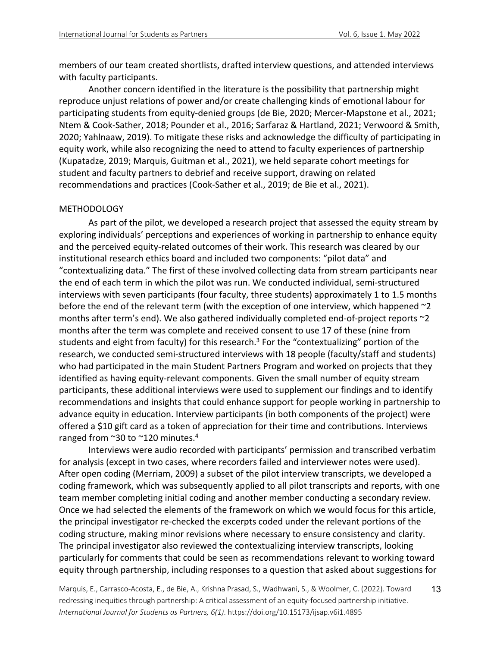members of our team created shortlists, drafted interview questions, and attended interviews with faculty participants.

Another concern identified in the literature is the possibility that partnership might reproduce unjust relations of power and/or create challenging kinds of emotional labour for participating students from equity-denied groups (de Bie, 2020; Mercer-Mapstone et al., 2021; Ntem & Cook-Sather, 2018; Pounder et al., 2016; Sarfaraz & Hartland, 2021; Verwoord & Smith, 2020; Yahlnaaw, 2019). To mitigate these risks and acknowledge the difficulty of participating in equity work, while also recognizing the need to attend to faculty experiences of partnership (Kupatadze, 2019; Marquis, Guitman et al., 2021), we held separate cohort meetings for student and faculty partners to debrief and receive support, drawing on related recommendations and practices (Cook-Sather et al., 2019; de Bie et al., 2021).

## METHODOLOGY

As part of the pilot, we developed a research project that assessed the equity stream by exploring individuals' perceptions and experiences of working in partnership to enhance equity and the perceived equity-related outcomes of their work. This research was cleared by our institutional research ethics board and included two components: "pilot data" and "contextualizing data." The first of these involved collecting data from stream participants near the end of each term in which the pilot was run. We conducted individual, semi-structured interviews with seven participants (four faculty, three students) approximately 1 to 1.5 months before the end of the relevant term (with the exception of one interview, which happened ~2 months after term's end). We also gathered individually completed end-of-project reports ~2 months after the term was complete and received consent to use 17 of these (nine from students and eight from faculty) for this research.<sup>3</sup> For the "contextualizing" portion of the research, we conducted semi-structured interviews with 18 people (faculty/staff and students) who had participated in the main Student Partners Program and worked on projects that they identified as having equity-relevant components. Given the small number of equity stream participants, these additional interviews were used to supplement our findings and to identify recommendations and insights that could enhance support for people working in partnership to advance equity in education. Interview participants (in both components of the project) were offered a \$10 gift card as a token of appreciation for their time and contributions. Interviews ranged from  $\sim$ 30 to  $\sim$ 120 minutes.<sup>4</sup>

Interviews were audio recorded with participants' permission and transcribed verbatim for analysis (except in two cases, where recorders failed and interviewer notes were used). After open coding (Merriam, 2009) a subset of the pilot interview transcripts, we developed a coding framework, which was subsequently applied to all pilot transcripts and reports, with one team member completing initial coding and another member conducting a secondary review. Once we had selected the elements of the framework on which we would focus for this article, the principal investigator re-checked the excerpts coded under the relevant portions of the coding structure, making minor revisions where necessary to ensure consistency and clarity. The principal investigator also reviewed the contextualizing interview transcripts, looking particularly for comments that could be seen as recommendations relevant to working toward equity through partnership, including responses to a question that asked about suggestions for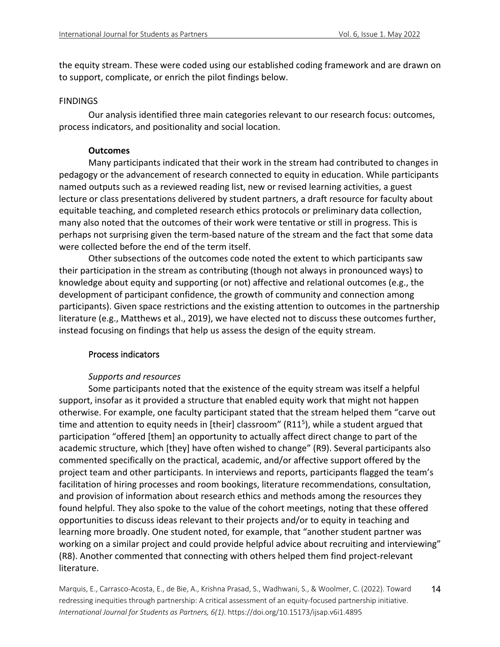the equity stream. These were coded using our established coding framework and are drawn on to support, complicate, or enrich the pilot findings below.

#### **FINDINGS**

Our analysis identified three main categories relevant to our research focus: outcomes, process indicators, and positionality and social location.

# **Outcomes**

Many participants indicated that their work in the stream had contributed to changes in pedagogy or the advancement of research connected to equity in education. While participants named outputs such as a reviewed reading list, new or revised learning activities, a guest lecture or class presentations delivered by student partners, a draft resource for faculty about equitable teaching, and completed research ethics protocols or preliminary data collection, many also noted that the outcomes of their work were tentative or still in progress. This is perhaps not surprising given the term-based nature of the stream and the fact that some data were collected before the end of the term itself.

Other subsections of the outcomes code noted the extent to which participants saw their participation in the stream as contributing (though not always in pronounced ways) to knowledge about equity and supporting (or not) affective and relational outcomes (e.g., the development of participant confidence, the growth of community and connection among participants). Given space restrictions and the existing attention to outcomes in the partnership literature (e.g., Matthews et al., 2019), we have elected not to discuss these outcomes further, instead focusing on findings that help us assess the design of the equity stream.

# Process indicators

# *Supports and resources*

Some participants noted that the existence of the equity stream was itself a helpful support, insofar as it provided a structure that enabled equity work that might not happen otherwise. For example, one faculty participant stated that the stream helped them "carve out time and attention to equity needs in [their] classroom" (R11<sup>5</sup>), while a student argued that participation "offered [them] an opportunity to actually affect direct change to part of the academic structure, which [they] have often wished to change" (R9). Several participants also commented specifically on the practical, academic, and/or affective support offered by the project team and other participants. In interviews and reports, participants flagged the team's facilitation of hiring processes and room bookings, literature recommendations, consultation, and provision of information about research ethics and methods among the resources they found helpful. They also spoke to the value of the cohort meetings, noting that these offered opportunities to discuss ideas relevant to their projects and/or to equity in teaching and learning more broadly. One student noted, for example, that "another student partner was working on a similar project and could provide helpful advice about recruiting and interviewing" (R8). Another commented that connecting with others helped them find project-relevant literature.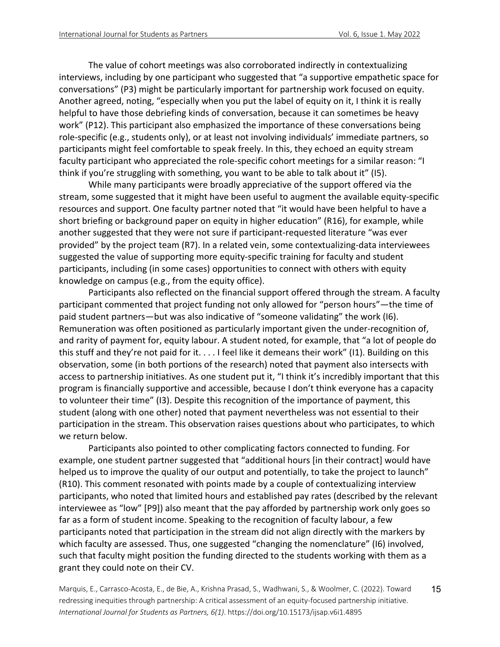The value of cohort meetings was also corroborated indirectly in contextualizing interviews, including by one participant who suggested that "a supportive empathetic space for conversations" (P3) might be particularly important for partnership work focused on equity. Another agreed, noting, "especially when you put the label of equity on it, I think it is really helpful to have those debriefing kinds of conversation, because it can sometimes be heavy work" (P12). This participant also emphasized the importance of these conversations being role-specific (e.g., students only), or at least not involving individuals' immediate partners, so participants might feel comfortable to speak freely. In this, they echoed an equity stream faculty participant who appreciated the role-specific cohort meetings for a similar reason: "I think if you're struggling with something, you want to be able to talk about it" (I5).

While many participants were broadly appreciative of the support offered via the stream, some suggested that it might have been useful to augment the available equity-specific resources and support. One faculty partner noted that "it would have been helpful to have a short briefing or background paper on equity in higher education" (R16), for example, while another suggested that they were not sure if participant-requested literature "was ever provided" by the project team (R7). In a related vein, some contextualizing-data interviewees suggested the value of supporting more equity-specific training for faculty and student participants, including (in some cases) opportunities to connect with others with equity knowledge on campus (e.g., from the equity office).

Participants also reflected on the financial support offered through the stream. A faculty participant commented that project funding not only allowed for "person hours"—the time of paid student partners—but was also indicative of "someone validating" the work (I6). Remuneration was often positioned as particularly important given the under-recognition of, and rarity of payment for, equity labour. A student noted, for example, that "a lot of people do this stuff and they're not paid for it. . . . I feel like it demeans their work" (I1). Building on this observation, some (in both portions of the research) noted that payment also intersects with access to partnership initiatives. As one student put it, "I think it's incredibly important that this program is financially supportive and accessible, because I don't think everyone has a capacity to volunteer their time" (I3). Despite this recognition of the importance of payment, this student (along with one other) noted that payment nevertheless was not essential to their participation in the stream. This observation raises questions about who participates, to which we return below.

Participants also pointed to other complicating factors connected to funding. For example, one student partner suggested that "additional hours [in their contract] would have helped us to improve the quality of our output and potentially, to take the project to launch" (R10). This comment resonated with points made by a couple of contextualizing interview participants, who noted that limited hours and established pay rates (described by the relevant interviewee as "low" [P9]) also meant that the pay afforded by partnership work only goes so far as a form of student income. Speaking to the recognition of faculty labour, a few participants noted that participation in the stream did not align directly with the markers by which faculty are assessed. Thus, one suggested "changing the nomenclature" (I6) involved, such that faculty might position the funding directed to the students working with them as a grant they could note on their CV.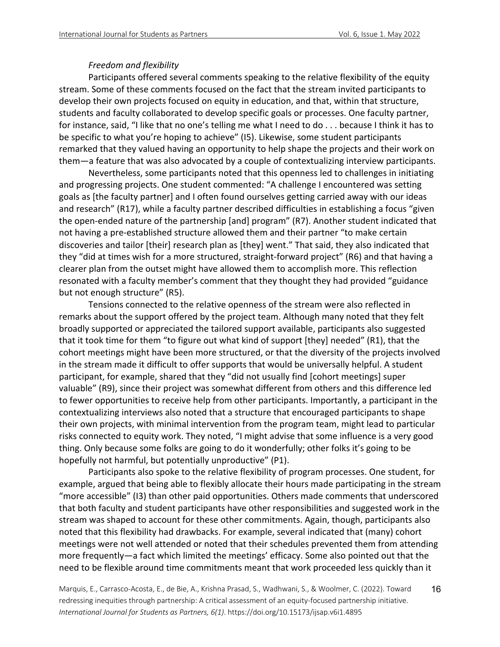# *Freedom and flexibility*

Participants offered several comments speaking to the relative flexibility of the equity stream. Some of these comments focused on the fact that the stream invited participants to develop their own projects focused on equity in education, and that, within that structure, students and faculty collaborated to develop specific goals or processes. One faculty partner, for instance, said, "I like that no one's telling me what I need to do . . . because I think it has to be specific to what you're hoping to achieve" (I5). Likewise, some student participants remarked that they valued having an opportunity to help shape the projects and their work on them—a feature that was also advocated by a couple of contextualizing interview participants.

Nevertheless, some participants noted that this openness led to challenges in initiating and progressing projects. One student commented: "A challenge I encountered was setting goals as [the faculty partner] and I often found ourselves getting carried away with our ideas and research" (R17), while a faculty partner described difficulties in establishing a focus "given the open-ended nature of the partnership [and] program" (R7). Another student indicated that not having a pre-established structure allowed them and their partner "to make certain discoveries and tailor [their] research plan as [they] went." That said, they also indicated that they "did at times wish for a more structured, straight-forward project" (R6) and that having a clearer plan from the outset might have allowed them to accomplish more. This reflection resonated with a faculty member's comment that they thought they had provided "guidance but not enough structure" (R5).

Tensions connected to the relative openness of the stream were also reflected in remarks about the support offered by the project team. Although many noted that they felt broadly supported or appreciated the tailored support available, participants also suggested that it took time for them "to figure out what kind of support [they] needed" (R1), that the cohort meetings might have been more structured, or that the diversity of the projects involved in the stream made it difficult to offer supports that would be universally helpful. A student participant, for example, shared that they "did not usually find [cohort meetings] super valuable" (R9), since their project was somewhat different from others and this difference led to fewer opportunities to receive help from other participants. Importantly, a participant in the contextualizing interviews also noted that a structure that encouraged participants to shape their own projects, with minimal intervention from the program team, might lead to particular risks connected to equity work. They noted, "I might advise that some influence is a very good thing. Only because some folks are going to do it wonderfully; other folks it's going to be hopefully not harmful, but potentially unproductive" (P1).

Participants also spoke to the relative flexibility of program processes. One student, for example, argued that being able to flexibly allocate their hours made participating in the stream "more accessible" (I3) than other paid opportunities. Others made comments that underscored that both faculty and student participants have other responsibilities and suggested work in the stream was shaped to account for these other commitments. Again, though, participants also noted that this flexibility had drawbacks. For example, several indicated that (many) cohort meetings were not well attended or noted that their schedules prevented them from attending more frequently—a fact which limited the meetings' efficacy. Some also pointed out that the need to be flexible around time commitments meant that work proceeded less quickly than it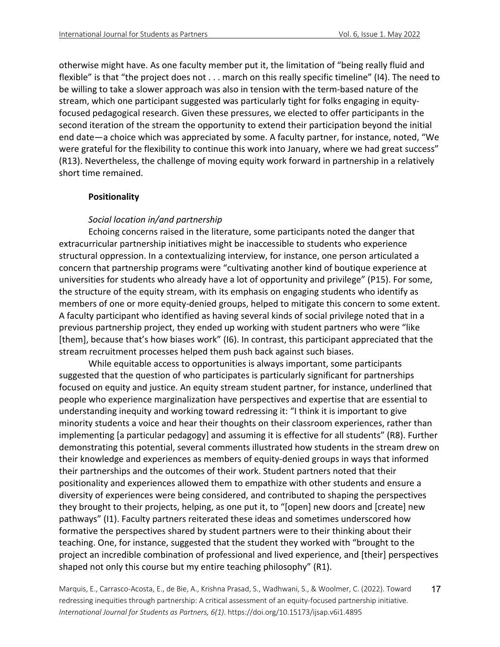otherwise might have. As one faculty member put it, the limitation of "being really fluid and flexible" is that "the project does not . . . march on this really specific timeline" (I4). The need to be willing to take a slower approach was also in tension with the term-based nature of the stream, which one participant suggested was particularly tight for folks engaging in equityfocused pedagogical research. Given these pressures, we elected to offer participants in the second iteration of the stream the opportunity to extend their participation beyond the initial end date—a choice which was appreciated by some. A faculty partner, for instance, noted, "We were grateful for the flexibility to continue this work into January, where we had great success" (R13). Nevertheless, the challenge of moving equity work forward in partnership in a relatively short time remained.

## **Positionality**

# *Social location in/and partnership*

Echoing concerns raised in the literature, some participants noted the danger that extracurricular partnership initiatives might be inaccessible to students who experience structural oppression. In a contextualizing interview, for instance, one person articulated a concern that partnership programs were "cultivating another kind of boutique experience at universities for students who already have a lot of opportunity and privilege" (P15). For some, the structure of the equity stream, with its emphasis on engaging students who identify as members of one or more equity-denied groups, helped to mitigate this concern to some extent. A faculty participant who identified as having several kinds of social privilege noted that in a previous partnership project, they ended up working with student partners who were "like [them], because that's how biases work" (I6). In contrast, this participant appreciated that the stream recruitment processes helped them push back against such biases.

While equitable access to opportunities is always important, some participants suggested that the question of who participates is particularly significant for partnerships focused on equity and justice. An equity stream student partner, for instance, underlined that people who experience marginalization have perspectives and expertise that are essential to understanding inequity and working toward redressing it: "I think it is important to give minority students a voice and hear their thoughts on their classroom experiences, rather than implementing [a particular pedagogy] and assuming it is effective for all students" (R8). Further demonstrating this potential, several comments illustrated how students in the stream drew on their knowledge and experiences as members of equity-denied groups in ways that informed their partnerships and the outcomes of their work. Student partners noted that their positionality and experiences allowed them to empathize with other students and ensure a diversity of experiences were being considered, and contributed to shaping the perspectives they brought to their projects, helping, as one put it, to "[open] new doors and [create] new pathways" (I1). Faculty partners reiterated these ideas and sometimes underscored how formative the perspectives shared by student partners were to their thinking about their teaching. One, for instance, suggested that the student they worked with "brought to the project an incredible combination of professional and lived experience, and [their] perspectives shaped not only this course but my entire teaching philosophy" (R1).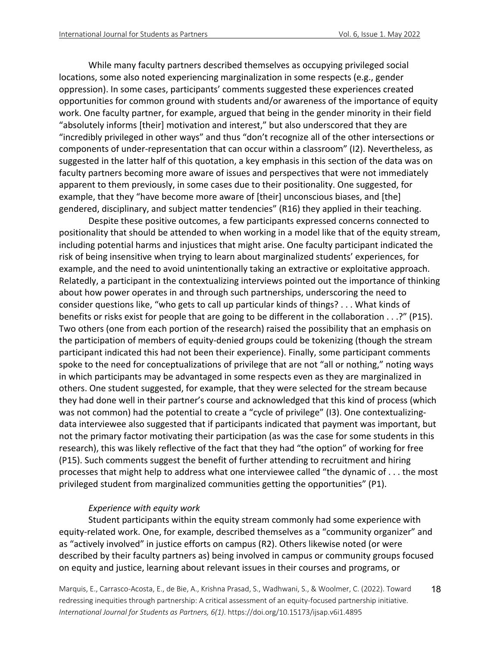While many faculty partners described themselves as occupying privileged social locations, some also noted experiencing marginalization in some respects (e.g., gender oppression). In some cases, participants' comments suggested these experiences created opportunities for common ground with students and/or awareness of the importance of equity work. One faculty partner, for example, argued that being in the gender minority in their field "absolutely informs [their] motivation and interest," but also underscored that they are "incredibly privileged in other ways" and thus "don't recognize all of the other intersections or components of under-representation that can occur within a classroom" (I2). Nevertheless, as suggested in the latter half of this quotation, a key emphasis in this section of the data was on faculty partners becoming more aware of issues and perspectives that were not immediately apparent to them previously, in some cases due to their positionality. One suggested, for example, that they "have become more aware of [their] unconscious biases, and [the] gendered, disciplinary, and subject matter tendencies" (R16) they applied in their teaching.

Despite these positive outcomes, a few participants expressed concerns connected to positionality that should be attended to when working in a model like that of the equity stream, including potential harms and injustices that might arise. One faculty participant indicated the risk of being insensitive when trying to learn about marginalized students' experiences, for example, and the need to avoid unintentionally taking an extractive or exploitative approach. Relatedly, a participant in the contextualizing interviews pointed out the importance of thinking about how power operates in and through such partnerships, underscoring the need to consider questions like, "who gets to call up particular kinds of things? . . . What kinds of benefits or risks exist for people that are going to be different in the collaboration . . .?" (P15). Two others (one from each portion of the research) raised the possibility that an emphasis on the participation of members of equity-denied groups could be tokenizing (though the stream participant indicated this had not been their experience). Finally, some participant comments spoke to the need for conceptualizations of privilege that are not "all or nothing," noting ways in which participants may be advantaged in some respects even as they are marginalized in others. One student suggested, for example, that they were selected for the stream because they had done well in their partner's course and acknowledged that this kind of process (which was not common) had the potential to create a "cycle of privilege" (I3). One contextualizingdata interviewee also suggested that if participants indicated that payment was important, but not the primary factor motivating their participation (as was the case for some students in this research), this was likely reflective of the fact that they had "the option" of working for free (P15). Such comments suggest the benefit of further attending to recruitment and hiring processes that might help to address what one interviewee called "the dynamic of . . . the most privileged student from marginalized communities getting the opportunities" (P1).

#### *Experience with equity work*

Student participants within the equity stream commonly had some experience with equity-related work. One, for example, described themselves as a "community organizer" and as "actively involved" in justice efforts on campus (R2). Others likewise noted (or were described by their faculty partners as) being involved in campus or community groups focused on equity and justice, learning about relevant issues in their courses and programs, or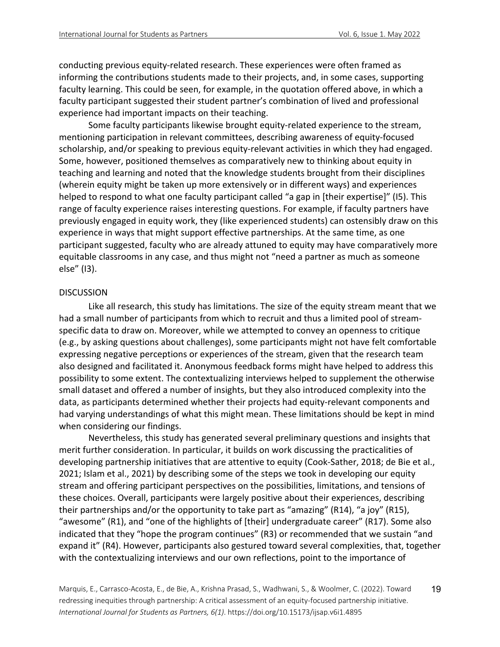conducting previous equity-related research. These experiences were often framed as informing the contributions students made to their projects, and, in some cases, supporting faculty learning. This could be seen, for example, in the quotation offered above, in which a faculty participant suggested their student partner's combination of lived and professional experience had important impacts on their teaching.

Some faculty participants likewise brought equity-related experience to the stream, mentioning participation in relevant committees, describing awareness of equity-focused scholarship, and/or speaking to previous equity-relevant activities in which they had engaged. Some, however, positioned themselves as comparatively new to thinking about equity in teaching and learning and noted that the knowledge students brought from their disciplines (wherein equity might be taken up more extensively or in different ways) and experiences helped to respond to what one faculty participant called "a gap in [their expertise]" (I5). This range of faculty experience raises interesting questions. For example, if faculty partners have previously engaged in equity work, they (like experienced students) can ostensibly draw on this experience in ways that might support effective partnerships. At the same time, as one participant suggested, faculty who are already attuned to equity may have comparatively more equitable classrooms in any case, and thus might not "need a partner as much as someone else" (I3).

#### DISCUSSION

Like all research, this study has limitations. The size of the equity stream meant that we had a small number of participants from which to recruit and thus a limited pool of streamspecific data to draw on. Moreover, while we attempted to convey an openness to critique (e.g., by asking questions about challenges), some participants might not have felt comfortable expressing negative perceptions or experiences of the stream, given that the research team also designed and facilitated it. Anonymous feedback forms might have helped to address this possibility to some extent. The contextualizing interviews helped to supplement the otherwise small dataset and offered a number of insights, but they also introduced complexity into the data, as participants determined whether their projects had equity-relevant components and had varying understandings of what this might mean. These limitations should be kept in mind when considering our findings.

Nevertheless, this study has generated several preliminary questions and insights that merit further consideration. In particular, it builds on work discussing the practicalities of developing partnership initiatives that are attentive to equity (Cook-Sather, 2018; de Bie et al., 2021; Islam et al., 2021) by describing some of the steps we took in developing our equity stream and offering participant perspectives on the possibilities, limitations, and tensions of these choices. Overall, participants were largely positive about their experiences, describing their partnerships and/or the opportunity to take part as "amazing" (R14), "a joy" (R15), "awesome" (R1), and "one of the highlights of [their] undergraduate career" (R17). Some also indicated that they "hope the program continues" (R3) or recommended that we sustain "and expand it" (R4). However, participants also gestured toward several complexities, that, together with the contextualizing interviews and our own reflections, point to the importance of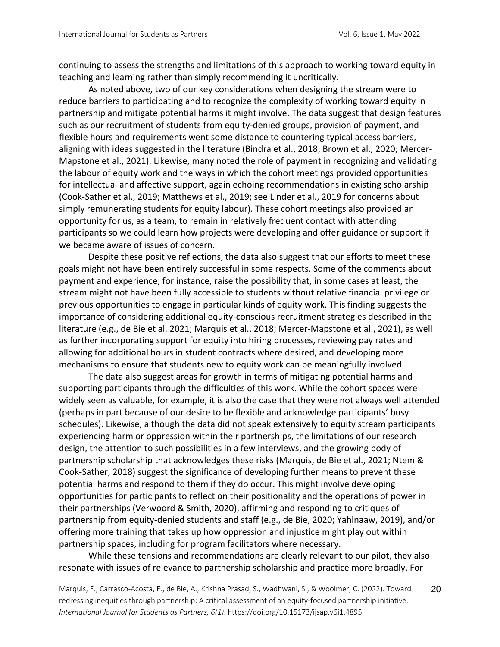continuing to assess the strengths and limitations of this approach to working toward equity in teaching and learning rather than simply recommending it uncritically.

As noted above, two of our key considerations when designing the stream were to reduce barriers to participating and to recognize the complexity of working toward equity in partnership and mitigate potential harms it might involve. The data suggest that design features such as our recruitment of students from equity-denied groups, provision of payment, and flexible hours and requirements went some distance to countering typical access barriers, aligning with ideas suggested in the literature (Bindra et al., 2018; Brown et al., 2020; Mercer-Mapstone et al., 2021). Likewise, many noted the role of payment in recognizing and validating the labour of equity work and the ways in which the cohort meetings provided opportunities for intellectual and affective support, again echoing recommendations in existing scholarship (Cook-Sather et al., 2019; Matthews et al., 2019; see Linder et al., 2019 for concerns about simply remunerating students for equity labour). These cohort meetings also provided an opportunity for us, as a team, to remain in relatively frequent contact with attending participants so we could learn how projects were developing and offer guidance or support if we became aware of issues of concern.

Despite these positive reflections, the data also suggest that our efforts to meet these goals might not have been entirely successful in some respects. Some of the comments about payment and experience, for instance, raise the possibility that, in some cases at least, the stream might not have been fully accessible to students without relative financial privilege or previous opportunities to engage in particular kinds of equity work. This finding suggests the importance of considering additional equity-conscious recruitment strategies described in the literature (e.g., de Bie et al. 2021; Marquis et al., 2018; Mercer-Mapstone et al., 2021), as well as further incorporating support for equity into hiring processes, reviewing pay rates and allowing for additional hours in student contracts where desired, and developing more mechanisms to ensure that students new to equity work can be meaningfully involved.

The data also suggest areas for growth in terms of mitigating potential harms and supporting participants through the difficulties of this work. While the cohort spaces were widely seen as valuable, for example, it is also the case that they were not always well attended (perhaps in part because of our desire to be flexible and acknowledge participants' busy schedules). Likewise, although the data did not speak extensively to equity stream participants experiencing harm or oppression within their partnerships, the limitations of our research design, the attention to such possibilities in a few interviews, and the growing body of partnership scholarship that acknowledges these risks (Marquis, de Bie et al., 2021; Ntem & Cook-Sather, 2018) suggest the significance of developing further means to prevent these potential harms and respond to them if they do occur. This might involve developing opportunities for participants to reflect on their positionality and the operations of power in their partnerships (Verwoord & Smith, 2020), affirming and responding to critiques of partnership from equity-denied students and staff (e.g., de Bie, 2020; Yahlnaaw, 2019), and/or offering more training that takes up how oppression and injustice might play out within partnership spaces, including for program facilitators where necessary.

While these tensions and recommendations are clearly relevant to our pilot, they also resonate with issues of relevance to partnership scholarship and practice more broadly. For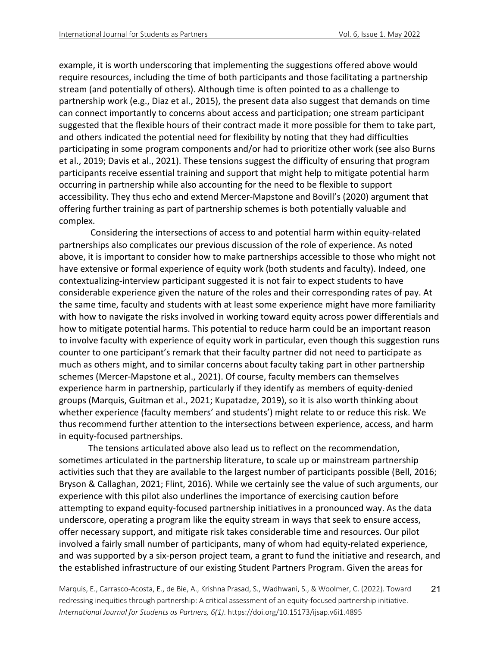example, it is worth underscoring that implementing the suggestions offered above would require resources, including the time of both participants and those facilitating a partnership stream (and potentially of others). Although time is often pointed to as a challenge to partnership work (e.g., Diaz et al., 2015), the present data also suggest that demands on time can connect importantly to concerns about access and participation; one stream participant suggested that the flexible hours of their contract made it more possible for them to take part, and others indicated the potential need for flexibility by noting that they had difficulties participating in some program components and/or had to prioritize other work (see also Burns et al., 2019; Davis et al., 2021). These tensions suggest the difficulty of ensuring that program participants receive essential training and support that might help to mitigate potential harm occurring in partnership while also accounting for the need to be flexible to support accessibility. They thus echo and extend Mercer-Mapstone and Bovill's (2020) argument that offering further training as part of partnership schemes is both potentially valuable and complex.

Considering the intersections of access to and potential harm within equity-related partnerships also complicates our previous discussion of the role of experience. As noted above, it is important to consider how to make partnerships accessible to those who might not have extensive or formal experience of equity work (both students and faculty). Indeed, one contextualizing-interview participant suggested it is not fair to expect students to have considerable experience given the nature of the roles and their corresponding rates of pay. At the same time, faculty and students with at least some experience might have more familiarity with how to navigate the risks involved in working toward equity across power differentials and how to mitigate potential harms. This potential to reduce harm could be an important reason to involve faculty with experience of equity work in particular, even though this suggestion runs counter to one participant's remark that their faculty partner did not need to participate as much as others might, and to similar concerns about faculty taking part in other partnership schemes (Mercer-Mapstone et al., 2021). Of course, faculty members can themselves experience harm in partnership, particularly if they identify as members of equity-denied groups (Marquis, Guitman et al., 2021; Kupatadze, 2019), so it is also worth thinking about whether experience (faculty members' and students') might relate to or reduce this risk. We thus recommend further attention to the intersections between experience, access, and harm in equity-focused partnerships.

The tensions articulated above also lead us to reflect on the recommendation, sometimes articulated in the partnership literature, to scale up or mainstream partnership activities such that they are available to the largest number of participants possible (Bell, 2016; Bryson & Callaghan, 2021; Flint, 2016). While we certainly see the value of such arguments, our experience with this pilot also underlines the importance of exercising caution before attempting to expand equity-focused partnership initiatives in a pronounced way. As the data underscore, operating a program like the equity stream in ways that seek to ensure access, offer necessary support, and mitigate risk takes considerable time and resources. Our pilot involved a fairly small number of participants, many of whom had equity-related experience, and was supported by a six-person project team, a grant to fund the initiative and research, and the established infrastructure of our existing Student Partners Program. Given the areas for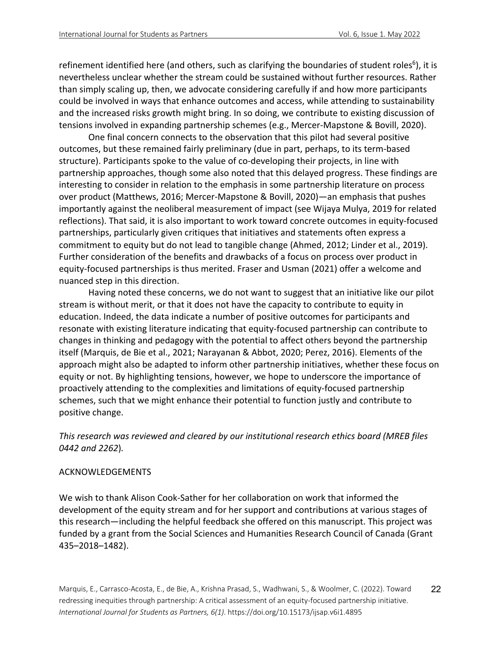refinement identified here (and others, such as clarifying the boundaries of student roles<sup>6</sup>), it is nevertheless unclear whether the stream could be sustained without further resources. Rather than simply scaling up, then, we advocate considering carefully if and how more participants could be involved in ways that enhance outcomes and access, while attending to sustainability and the increased risks growth might bring. In so doing, we contribute to existing discussion of tensions involved in expanding partnership schemes (e.g., Mercer-Mapstone & Bovill, 2020).

One final concern connects to the observation that this pilot had several positive outcomes, but these remained fairly preliminary (due in part, perhaps, to its term-based structure). Participants spoke to the value of co-developing their projects, in line with partnership approaches, though some also noted that this delayed progress. These findings are interesting to consider in relation to the emphasis in some partnership literature on process over product (Matthews, 2016; Mercer-Mapstone & Bovill, 2020)—an emphasis that pushes importantly against the neoliberal measurement of impact (see Wijaya Mulya, 2019 for related reflections). That said, it is also important to work toward concrete outcomes in equity-focused partnerships, particularly given critiques that initiatives and statements often express a commitment to equity but do not lead to tangible change (Ahmed, 2012; Linder et al., 2019). Further consideration of the benefits and drawbacks of a focus on process over product in equity-focused partnerships is thus merited. Fraser and Usman (2021) offer a welcome and nuanced step in this direction.

Having noted these concerns, we do not want to suggest that an initiative like our pilot stream is without merit, or that it does not have the capacity to contribute to equity in education. Indeed, the data indicate a number of positive outcomes for participants and resonate with existing literature indicating that equity-focused partnership can contribute to changes in thinking and pedagogy with the potential to affect others beyond the partnership itself (Marquis, de Bie et al., 2021; Narayanan & Abbot, 2020; Perez, 2016). Elements of the approach might also be adapted to inform other partnership initiatives, whether these focus on equity or not. By highlighting tensions, however, we hope to underscore the importance of proactively attending to the complexities and limitations of equity-focused partnership schemes, such that we might enhance their potential to function justly and contribute to positive change.

# *This research was reviewed and cleared by our institutional research ethics board (MREB files 0442 and 2262*)*.*

# ACKNOWLEDGEMENTS

We wish to thank Alison Cook-Sather for her collaboration on work that informed the development of the equity stream and for her support and contributions at various stages of this research—including the helpful feedback she offered on this manuscript. This project was funded by a grant from the Social Sciences and Humanities Research Council of Canada (Grant 435–2018–1482).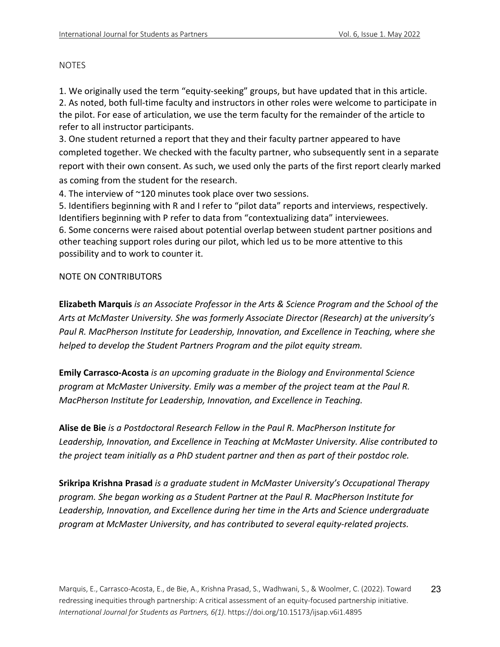#### NOTES

1. We originally used the term "equity-seeking" groups, but have updated that in this article. 2. As noted, both full-time faculty and instructors in other roles were welcome to participate in the pilot. For ease of articulation, we use the term faculty for the remainder of the article to refer to all instructor participants.

3. One student returned a report that they and their faculty partner appeared to have completed together. We checked with the faculty partner, who subsequently sent in a separate report with their own consent. As such, we used only the parts of the first report clearly marked as coming from the student for the research.

4. The interview of ~120 minutes took place over two sessions.

5. Identifiers beginning with R and I refer to "pilot data" reports and interviews, respectively. Identifiers beginning with P refer to data from "contextualizing data" interviewees. 6. Some concerns were raised about potential overlap between student partner positions and other teaching support roles during our pilot, which led us to be more attentive to this possibility and to work to counter it.

## NOTE ON CONTRIBUTORS

**Elizabeth Marquis** *is an Associate Professor in the Arts & Science Program and the School of the Arts at McMaster University. She was formerly Associate Director (Research) at the university's Paul R. MacPherson Institute for Leadership, Innovation, and Excellence in Teaching, where she helped to develop the Student Partners Program and the pilot equity stream.*

**Emily Carrasco-Acosta** *is an upcoming graduate in the Biology and Environmental Science program at McMaster University. Emily was a member of the project team at the Paul R. MacPherson Institute for Leadership, Innovation, and Excellence in Teaching.*

**Alise de Bie** *is a Postdoctoral Research Fellow in the Paul R. MacPherson Institute for Leadership, Innovation, and Excellence in Teaching at McMaster University. Alise contributed to the project team initially as a PhD student partner and then as part of their postdoc role.*

**Srikripa Krishna Prasad** *is a graduate student in McMaster University's Occupational Therapy program. She began working as a Student Partner at the Paul R. MacPherson Institute for Leadership, Innovation, and Excellence during her time in the Arts and Science undergraduate program at McMaster University, and has contributed to several equity-related projects.*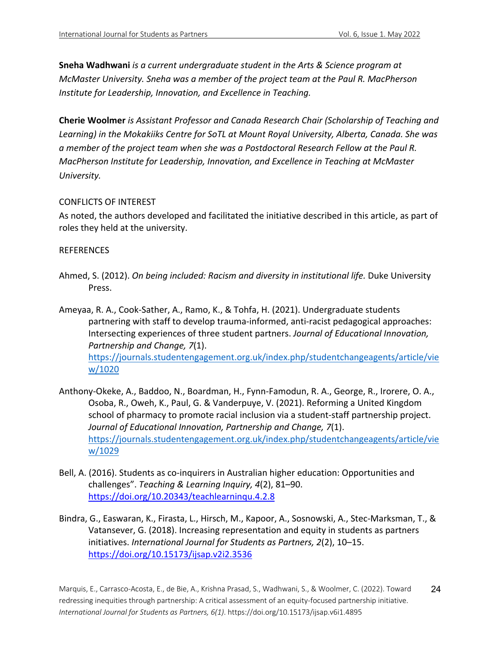**Sneha Wadhwani** *is a current undergraduate student in the Arts & Science program at McMaster University. Sneha was a member of the project team at the Paul R. MacPherson Institute for Leadership, Innovation, and Excellence in Teaching.*

**Cherie Woolmer** *is Assistant Professor and Canada Research Chair (Scholarship of Teaching and Learning) in the Mokakiiks Centre for SoTL at Mount Royal University, Alberta, Canada. She was a member of the project team when she was a Postdoctoral Research Fellow at the Paul R. MacPherson Institute for Leadership, Innovation, and Excellence in Teaching at McMaster University.*

## CONFLICTS OF INTEREST

As noted, the authors developed and facilitated the initiative described in this article, as part of roles they held at the university.

## REFERENCES

- Ahmed, S. (2012). *On being included: Racism and diversity in institutional life.* Duke University Press.
- Ameyaa, R. A., Cook-Sather, A., Ramo, K., & Tohfa, H. (2021). Undergraduate students partnering with staff to develop trauma-informed, anti-racist pedagogical approaches: Intersecting experiences of three student partners. *Journal of Educational Innovation, Partnership and Change, 7*(1). https://journals.studentengagement.org.uk/index.php/studentchangeagents/article/vie w/1020
- Anthony-Okeke, A., Baddoo, N., Boardman, H., Fynn-Famodun, R. A., George, R., Irorere, O. A., Osoba, R., Oweh, K., Paul, G. & Vanderpuye, V. (2021). Reforming a United Kingdom school of pharmacy to promote racial inclusion via a student-staff partnership project. *Journal of Educational Innovation, Partnership and Change, 7*(1). https://journals.studentengagement.org.uk/index.php/studentchangeagents/article/vie w/1029
- Bell, A. (2016). Students as co-inquirers in Australian higher education: Opportunities and challenges". *Teaching & Learning Inquiry, 4*(2), 81–90. https://doi.org/10.20343/teachlearninqu.4.2.8
- Bindra, G., Easwaran, K., Firasta, L., Hirsch, M., Kapoor, A., Sosnowski, A., Stec-Marksman, T., & Vatansever, G. (2018). Increasing representation and equity in students as partners initiatives. *International Journal for Students as Partners, 2*(2), 10–15. https://doi.org/10.15173/ijsap.v2i2.3536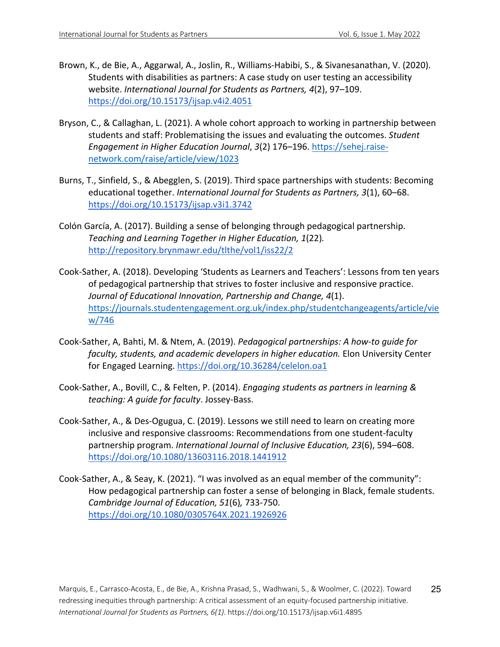- Brown, K., de Bie, A., Aggarwal, A., Joslin, R., Williams-Habibi, S., & Sivanesanathan, V. (2020). Students with disabilities as partners: A case study on user testing an accessibility website. *International Journal for Students as Partners, 4*(2), 97–109. https://doi.org/10.15173/ijsap.v4i2.4051
- Bryson, C., & Callaghan, L. (2021). A whole cohort approach to working in partnership between students and staff: Problematising the issues and evaluating the outcomes. *Student Engagement in Higher Education Journal*, *3*(2) 176–196. https://sehej.raisenetwork.com/raise/article/view/1023
- Burns, T., Sinfield, S., & Abegglen, S. (2019). Third space partnerships with students: Becoming educational together. *International Journal for Students as Partners, 3*(1), 60–68. https://doi.org/10.15173/ijsap.v3i1.3742
- Colón García, A. (2017). Building a sense of belonging through pedagogical partnership. *Teaching and Learning Together in Higher Education, 1*(22)*.* http://repository.brynmawr.edu/tlthe/vol1/iss22/2
- Cook-Sather, A. (2018). Developing 'Students as Learners and Teachers': Lessons from ten years of pedagogical partnership that strives to foster inclusive and responsive practice. *Journal of Educational Innovation, Partnership and Change, 4*(1). https://journals.studentengagement.org.uk/index.php/studentchangeagents/article/vie w/746
- Cook-Sather, A, Bahti, M. & Ntem, A. (2019). *Pedagogical partnerships: A how-to guide for faculty, students, and academic developers in higher education.* Elon University Center for Engaged Learning. https://doi.org/10.36284/celelon.oa1
- Cook-Sather, A., Bovill, C., & Felten, P. (2014). *Engaging students as partners in learning & teaching: A guide for faculty*. Jossey-Bass.
- Cook-Sather, A., & Des-Ogugua, C. (2019). Lessons we still need to learn on creating more inclusive and responsive classrooms: Recommendations from one student-faculty partnership program. *International Journal of Inclusive Education, 23*(6), 594–608. https://doi.org/10.1080/13603116.2018.1441912
- Cook-Sather, A., & Seay, K. (2021). "I was involved as an equal member of the community": How pedagogical partnership can foster a sense of belonging in Black, female students. *Cambridge Journal of Education, 51*(6)*,* 733-750. https://doi.org/10.1080/0305764X.2021.1926926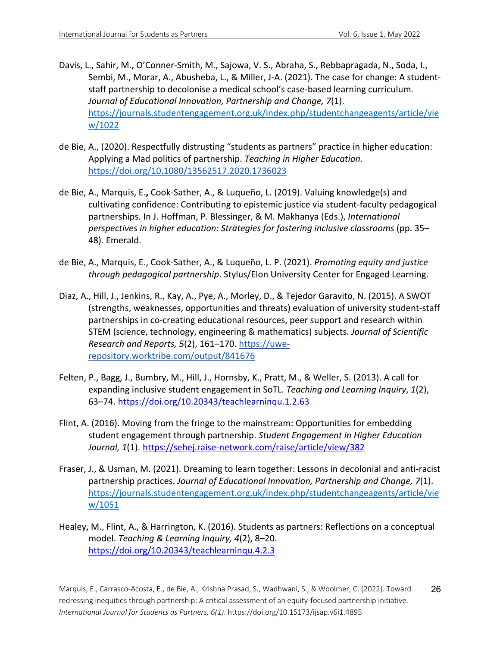- Davis, L., Sahir, M., O'Conner-Smith, M., Sajowa, V. S., Abraha, S., Rebbapragada, N., Soda, I., Sembi, M., Morar, A., Abusheba, L., & Miller, J-A. (2021). The case for change: A studentstaff partnership to decolonise a medical school's case-based learning curriculum. *Journal of Educational Innovation, Partnership and Change, 7*(1). https://journals.studentengagement.org.uk/index.php/studentchangeagents/article/vie w/1022
- de Bie, A., (2020). Respectfully distrusting "students as partners" practice in higher education: Applying a Mad politics of partnership. *Teaching in Higher Education.*  https://doi.org/10.1080/13562517.2020.1736023
- de Bie, A., Marquis, E.**,** Cook-Sather, A., & Luqueño, L. (2019). Valuing knowledge(s) and cultivating confidence: Contributing to epistemic justice via student-faculty pedagogical partnerships. In J. Hoffman, P. Blessinger, & M. Makhanya (Eds.), *International perspectives in higher education: Strategies for fostering inclusive classrooms* (pp. 35– 48). Emerald.
- de Bie, A., Marquis, E., Cook-Sather, A., & Luqueño, L. P. (2021). *Promoting equity and justice through pedagogical partnership*. Stylus/Elon University Center for Engaged Learning.
- Diaz, A., Hill, J., Jenkins, R., Kay, A., Pye, A., Morley, D., & Tejedor Garavito, N. (2015). A SWOT (strengths, weaknesses, opportunities and threats) evaluation of university student-staff partnerships in co-creating educational resources, peer support and research within STEM (science, technology, engineering & mathematics) subjects. *Journal of Scientific Research and Reports, 5*(2), 161–170. https://uwerepository.worktribe.com/output/841676
- Felten, P., Bagg, J., Bumbry, M., Hill, J., Hornsby, K., Pratt, M., & Weller, S. (2013). A call for expanding inclusive student engagement in SoTL. *Teaching and Learning Inquiry*, *1*(2), 63–74. https://doi.org/10.20343/teachlearninqu.1.2.63
- Flint, A. (2016). Moving from the fringe to the mainstream: Opportunities for embedding student engagement through partnership. *Student Engagement in Higher Education Journal, 1*(1). https://sehej.raise-network.com/raise/article/view/382
- Fraser, J., & Usman, M. (2021). Dreaming to learn together: Lessons in decolonial and anti-racist partnership practices. *Journal of Educational Innovation, Partnership and Change, 7*(1). https://journals.studentengagement.org.uk/index.php/studentchangeagents/article/vie w/1051
- Healey, M., Flint, A., & Harrington, K. (2016). Students as partners: Reflections on a conceptual model. *Teaching & Learning Inquiry, 4*(2), 8–20. https://doi.org/10.20343/teachlearninqu.4.2.3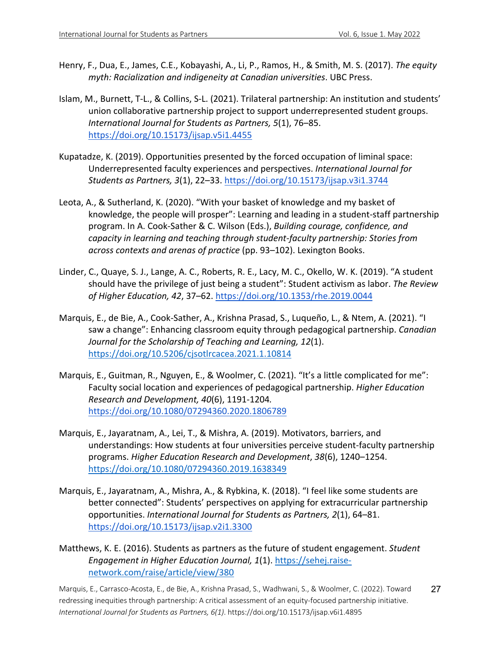- Henry, F., Dua, E., James, C.E., Kobayashi, A., Li, P., Ramos, H., & Smith, M. S. (2017). *The equity myth: Racialization and indigeneity at Canadian universities*. UBC Press.
- Islam, M., Burnett, T-L., & Collins, S-L. (2021). Trilateral partnership: An institution and students' union collaborative partnership project to support underrepresented student groups. *International Journal for Students as Partners, 5*(1), 76–85. https://doi.org/10.15173/ijsap.v5i1.4455
- Kupatadze, K. (2019). Opportunities presented by the forced occupation of liminal space: Underrepresented faculty experiences and perspectives. *International Journal for Students as Partners, 3*(1), 22–33. https://doi.org/10.15173/ijsap.v3i1.3744
- Leota, A., & Sutherland, K. (2020). "With your basket of knowledge and my basket of knowledge, the people will prosper": Learning and leading in a student-staff partnership program. In A. Cook-Sather & C. Wilson (Eds.), *Building courage, confidence, and capacity in learning and teaching through student-faculty partnership: Stories from across contexts and arenas of practice* (pp. 93–102). Lexington Books.
- Linder, C., Quaye, S. J., Lange, A. C., Roberts, R. E., Lacy, M. C., Okello, W. K. (2019). "A student should have the privilege of just being a student": Student activism as labor. *The Review of Higher Education, 42*, 37–62. https://doi.org/10.1353/rhe.2019.0044
- Marquis, E., de Bie, A., Cook-Sather, A., Krishna Prasad, S., Luqueño, L., & Ntem, A. (2021). "I saw a change": Enhancing classroom equity through pedagogical partnership. *Canadian Journal for the Scholarship of Teaching and Learning, 12*(1). https://doi.org/10.5206/cjsotlrcacea.2021.1.10814
- Marquis, E., Guitman, R., Nguyen, E., & Woolmer, C. (2021). "It's a little complicated for me": Faculty social location and experiences of pedagogical partnership. *Higher Education Research and Development, 40*(6), 1191-1204*.*  https://doi.org/10.1080/07294360.2020.1806789
- Marquis, E., Jayaratnam, A., Lei, T., & Mishra, A. (2019). Motivators, barriers, and understandings: How students at four universities perceive student-faculty partnership programs. *Higher Education Research and Development*, *38*(6), 1240–1254. https://doi.org/10.1080/07294360.2019.1638349
- Marquis, E., Jayaratnam, A., Mishra, A., & Rybkina, K. (2018). "I feel like some students are better connected": Students' perspectives on applying for extracurricular partnership opportunities. *International Journal for Students as Partners, 2*(1), 64–81. https://doi.org/10.15173/ijsap.v2i1.3300
- Matthews, K. E. (2016). Students as partners as the future of student engagement. *Student Engagement in Higher Education Journal, 1*(1). https://sehej.raisenetwork.com/raise/article/view/380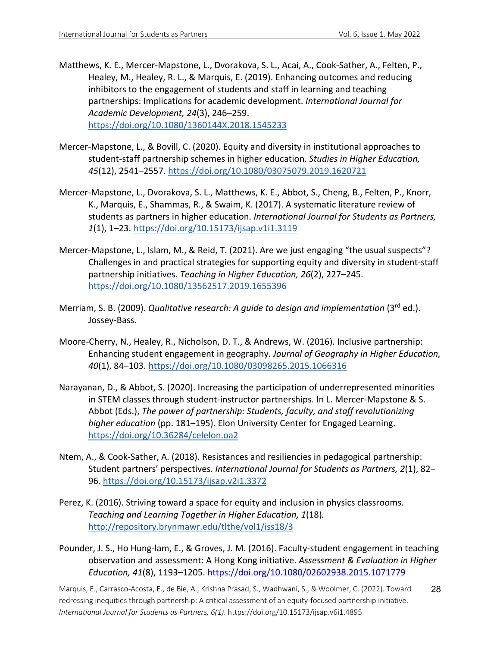- Matthews, K. E., Mercer-Mapstone, L., Dvorakova, S. L., Acai, A., Cook-Sather, A., Felten, P., Healey, M., Healey, R. L., & Marquis, E. (2019). Enhancing outcomes and reducing inhibitors to the engagement of students and staff in learning and teaching partnerships: Implications for academic development. *International Journal for Academic Development, 24*(3), 246–259. https://doi.org/10.1080/1360144X.2018.1545233
- Mercer-Mapstone, L., & Bovill, C. (2020). Equity and diversity in institutional approaches to student-staff partnership schemes in higher education. *Studies in Higher Education, 45*(12), 2541–2557. https://doi.org/10.1080/03075079.2019.1620721
- Mercer-Mapstone, L., Dvorakova, S. L., Matthews, K. E., Abbot, S., Cheng, B., Felten, P., Knorr, K., Marquis, E., Shammas, R., & Swaim, K. (2017). A systematic literature review of students as partners in higher education. *International Journal for Students as Partners, 1*(1), 1–23. https://doi.org/10.15173/ijsap.v1i1.3119
- Mercer-Mapstone, L., Islam, M., & Reid, T. (2021). Are we just engaging "the usual suspects"? Challenges in and practical strategies for supporting equity and diversity in student-staff partnership initiatives. *Teaching in Higher Education, 26*(2), 227–245. https://doi.org/10.1080/13562517.2019.1655396
- Merriam, S. B. (2009). *Qualitative research: A guide to design and implementation* (3<sup>rd</sup> ed.). Jossey-Bass.
- Moore-Cherry, N., Healey, R., Nicholson, D. T., & Andrews, W. (2016). Inclusive partnership: Enhancing student engagement in geography. *Journal of Geography in Higher Education, 40*(1), 84–103. https://doi.org/10.1080/03098265.2015.1066316
- Narayanan, D., & Abbot, S. (2020). Increasing the participation of underrepresented minorities in STEM classes through student-instructor partnerships. In L. Mercer-Mapstone & S. Abbot (Eds.), *The power of partnership: Students, faculty, and staff revolutionizing higher education* (pp. 181–195). Elon University Center for Engaged Learning. https://doi.org/10.36284/celelon.oa2
- Ntem, A., & Cook-Sather, A. (2018). Resistances and resiliencies in pedagogical partnership: Student partners' perspectives. *International Journal for Students as Partners, 2*(1), 82– 96. https://doi.org/10.15173/ijsap.v2i1.3372
- Perez, K. (2016). Striving toward a space for equity and inclusion in physics classrooms. *Teaching and Learning Together in Higher Education, 1*(18)*.*  http://repository.brynmawr.edu/tlthe/vol1/iss18/3
- Pounder, J. S., Ho Hung-lam, E., & Groves, J. M. (2016). Faculty-student engagement in teaching observation and assessment: A Hong Kong initiative. *Assessment & Evaluation in Higher Education, 41*(8), 1193–1205. https://doi.org/10.1080/02602938.2015.1071779